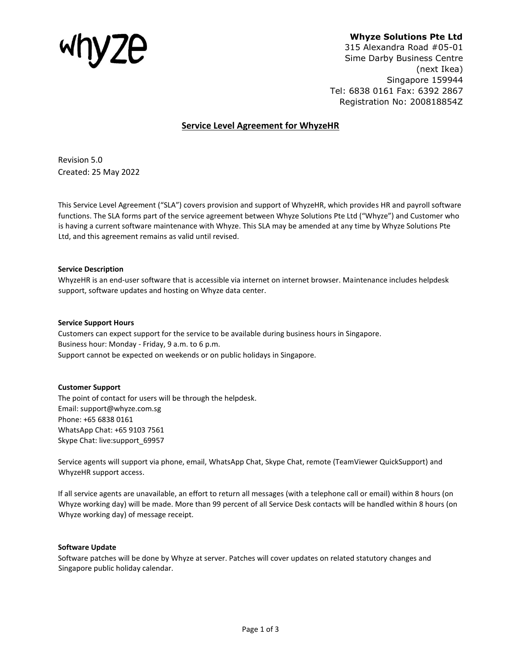

# **Whyze Solutions Pte Ltd**

315 Alexandra Road #05-01 Sime Darby Business Centre (next Ikea) Singapore 159944 Tel: 6838 0161 Fax: 6392 2867 Registration No: 200818854Z

# **Service Level Agreement for WhyzeHR**

Revision 5.0 Created: 25 May 2022

This Service Level Agreement ("SLA") covers provision and support of WhyzeHR, which provides HR and payroll software functions. The SLA forms part of the service agreement between Whyze Solutions Pte Ltd ("Whyze") and Customer who is having a current software maintenance with Whyze. This SLA may be amended at any time by Whyze Solutions Pte Ltd, and this agreement remains as valid until revised.

# **Service Description**

WhyzeHR is an end-user software that is accessible via internet on internet browser. Maintenance includes helpdesk support, software updates and hosting on Whyze data center.

### **Service Support Hours**

Customers can expect support for the service to be available during business hours in Singapore. Business hour: Monday - Friday, 9 a.m. to 6 p.m. Support cannot be expected on weekends or on public holidays in Singapore.

# **Customer Support**

The point of contact for users will be through the helpdesk. Email: support@whyze.com.sg Phone: +65 6838 0161 WhatsApp Chat: +65 9103 7561 Skype Chat: live:support\_69957

Service agents will support via phone, email, WhatsApp Chat, Skype Chat, remote (TeamViewer QuickSupport) and WhyzeHR support access.

If all service agents are unavailable, an effort to return all messages (with a telephone call or email) within 8 hours (on Whyze working day) will be made. More than 99 percent of all Service Desk contacts will be handled within 8 hours (on Whyze working day) of message receipt.

# **Software Update**

Software patches will be done by Whyze at server. Patches will cover updates on related statutory changes and Singapore public holiday calendar.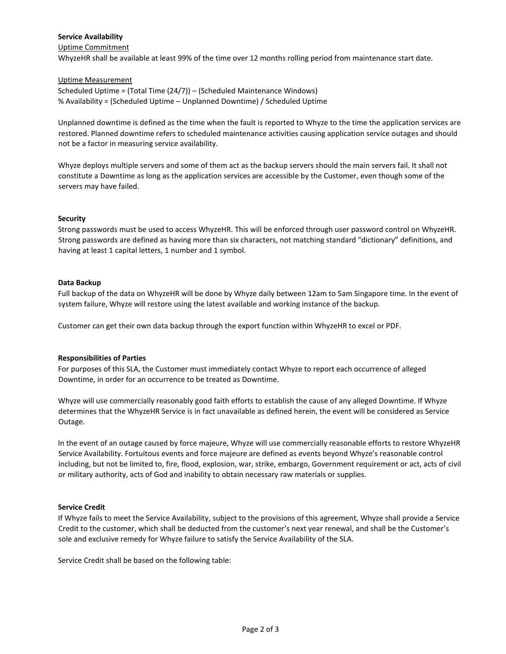# **Service Availability**

### Uptime Commitment

WhyzeHR shall be available at least 99% of the time over 12 months rolling period from maintenance start date.

### Uptime Measurement

Scheduled Uptime = (Total Time (24/7)) – (Scheduled Maintenance Windows) % Availability = (Scheduled Uptime – Unplanned Downtime) / Scheduled Uptime

Unplanned downtime is defined as the time when the fault is reported to Whyze to the time the application services are restored. Planned downtime refers to scheduled maintenance activities causing application service outages and should not be a factor in measuring service availability.

Whyze deploys multiple servers and some of them act as the backup servers should the main servers fail. It shall not constitute a Downtime as long as the application services are accessible by the Customer, even though some of the servers may have failed.

## **Security**

Strong passwords must be used to access WhyzeHR. This will be enforced through user password control on WhyzeHR. Strong passwords are defined as having more than six characters, not matching standard "dictionary" definitions, and having at least 1 capital letters, 1 number and 1 symbol.

#### **Data Backup**

Full backup of the data on WhyzeHR will be done by Whyze daily between 12am to 5am Singapore time. In the event of system failure, Whyze will restore using the latest available and working instance of the backup.

Customer can get their own data backup through the export function within WhyzeHR to excel or PDF.

#### **Responsibilities of Parties**

For purposes of this SLA, the Customer must immediately contact Whyze to report each occurrence of alleged Downtime, in order for an occurrence to be treated as Downtime.

Whyze will use commercially reasonably good faith efforts to establish the cause of any alleged Downtime. If Whyze determines that the WhyzeHR Service is in fact unavailable as defined herein, the event will be considered as Service Outage.

In the event of an outage caused by force majeure, Whyze will use commercially reasonable efforts to restore WhyzeHR Service Availability. Fortuitous events and force majeure are defined as events beyond Whyze's reasonable control including, but not be limited to, fire, flood, explosion, war, strike, embargo, Government requirement or act, acts of civil or military authority, acts of God and inability to obtain necessary raw materials or supplies.

#### **Service Credit**

If Whyze fails to meet the Service Availability, subject to the provisions of this agreement, Whyze shall provide a Service Credit to the customer, which shall be deducted from the customer's next year renewal, and shall be the Customer's sole and exclusive remedy for Whyze failure to satisfy the Service Availability of the SLA.

Service Credit shall be based on the following table: